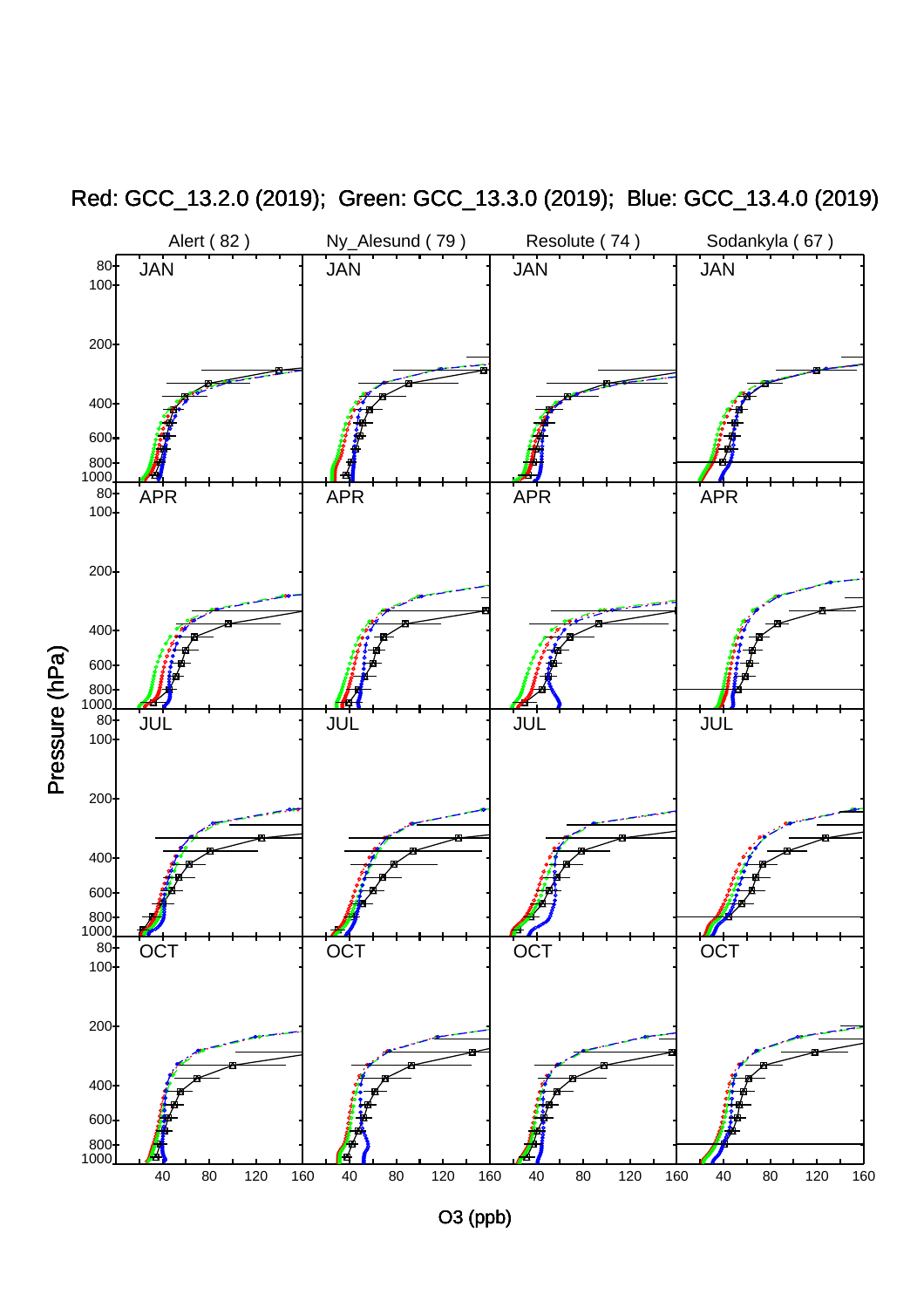

Red: GCC\_13.2.0 (2019); Green: GCC\_13.3.0 (2019); Blue: GCC\_13.4.0 (2019)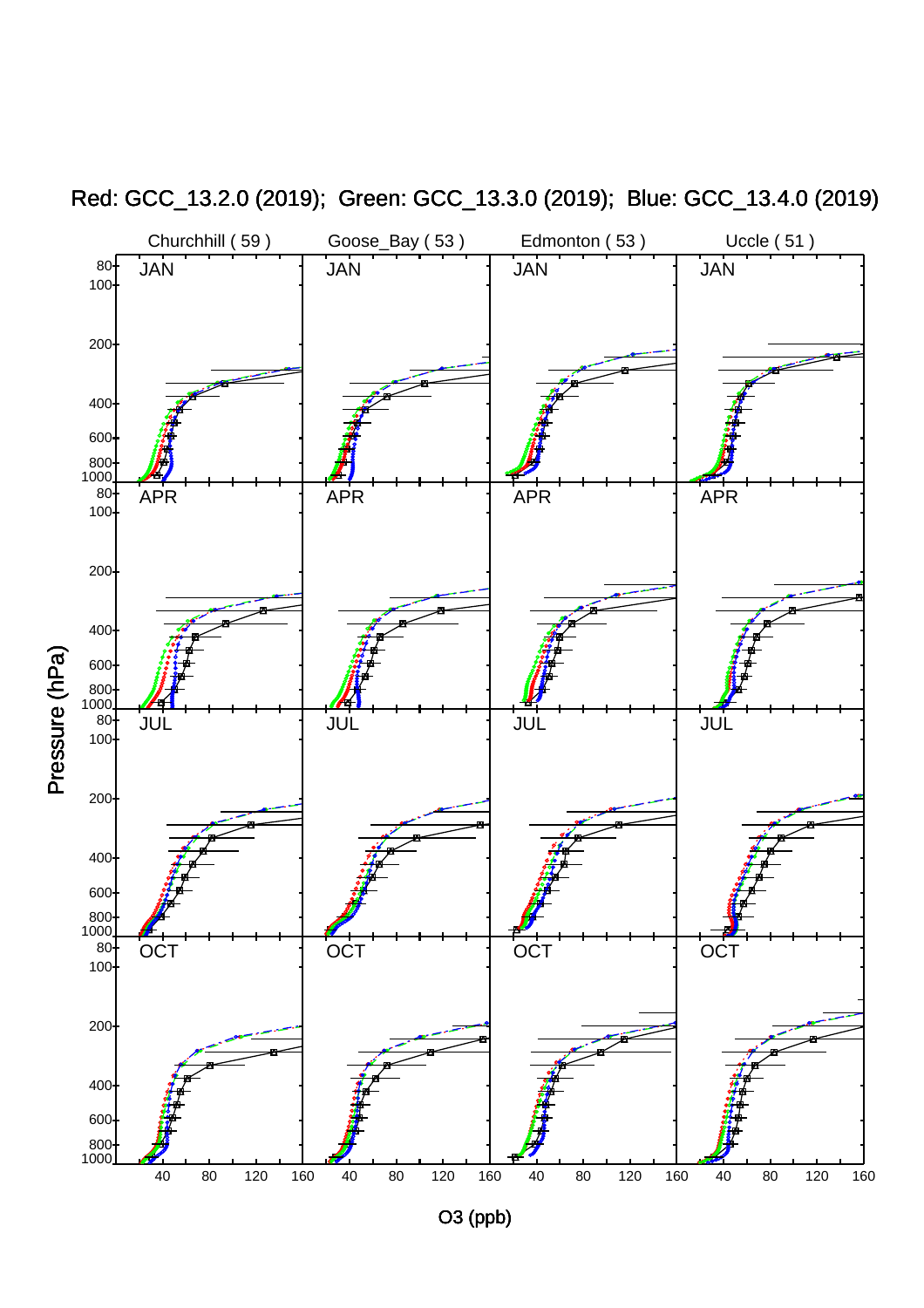

Red: GCC\_13.2.0 (2019); Green: GCC\_13.3.0 (2019); Blue: GCC\_13.4.0 (2019)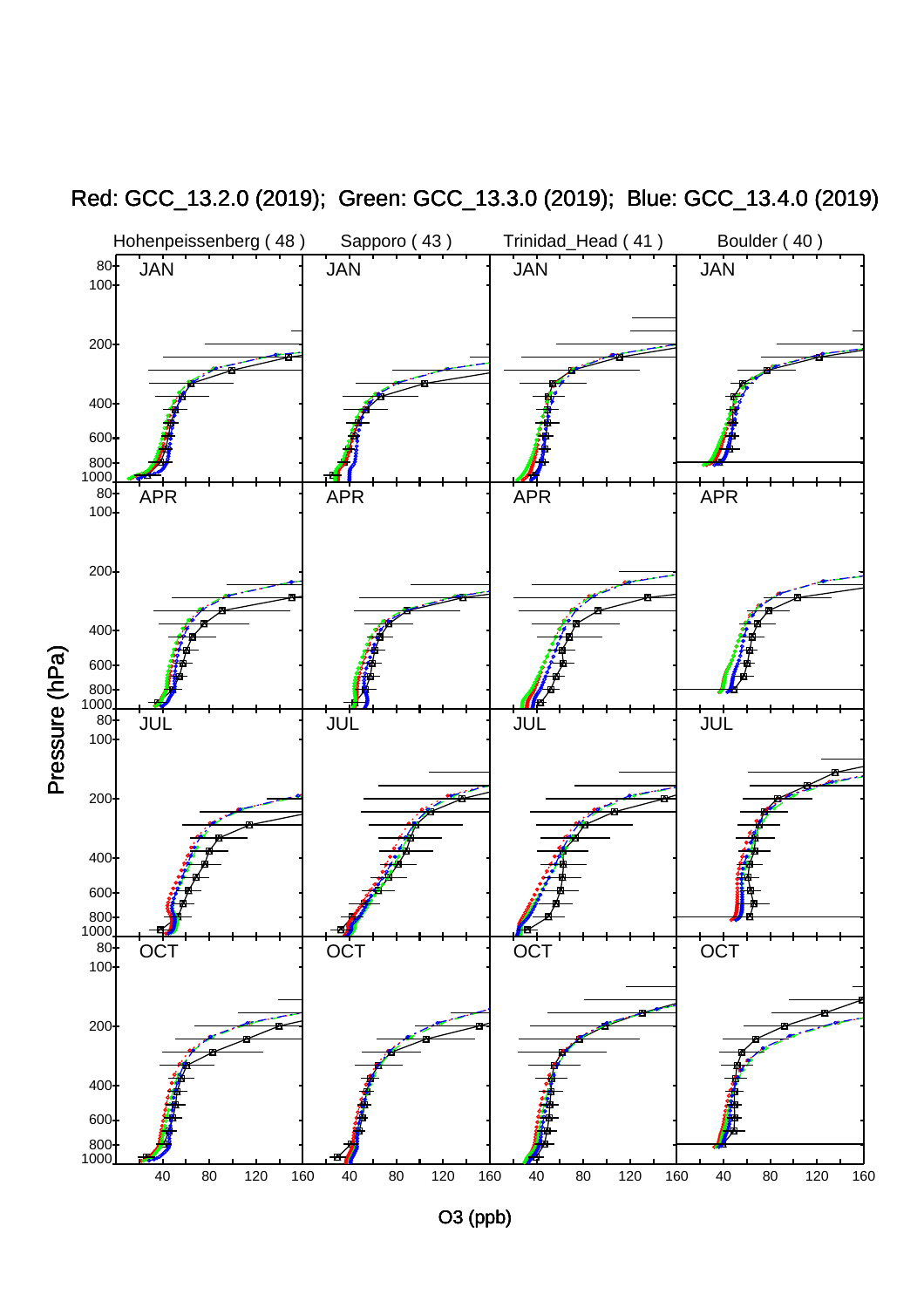

Red: GCC\_13.2.0 (2019); Green: GCC\_13.3.0 (2019); Blue: GCC\_13.4.0 (2019)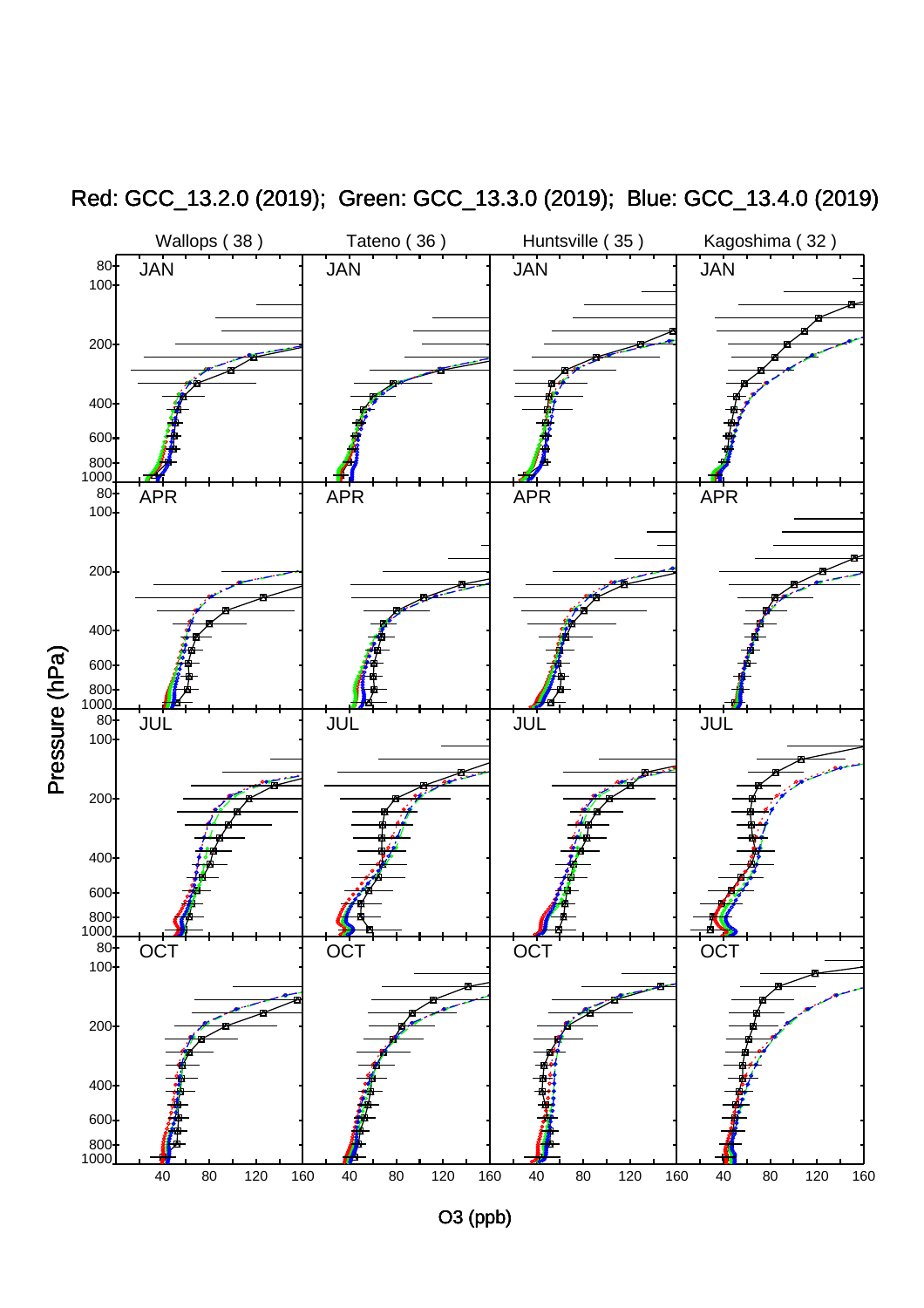

Red: GCC\_13.2.0 (2019); Green: GCC\_13.3.0 (2019); Blue: GCC\_13.4.0 (2019)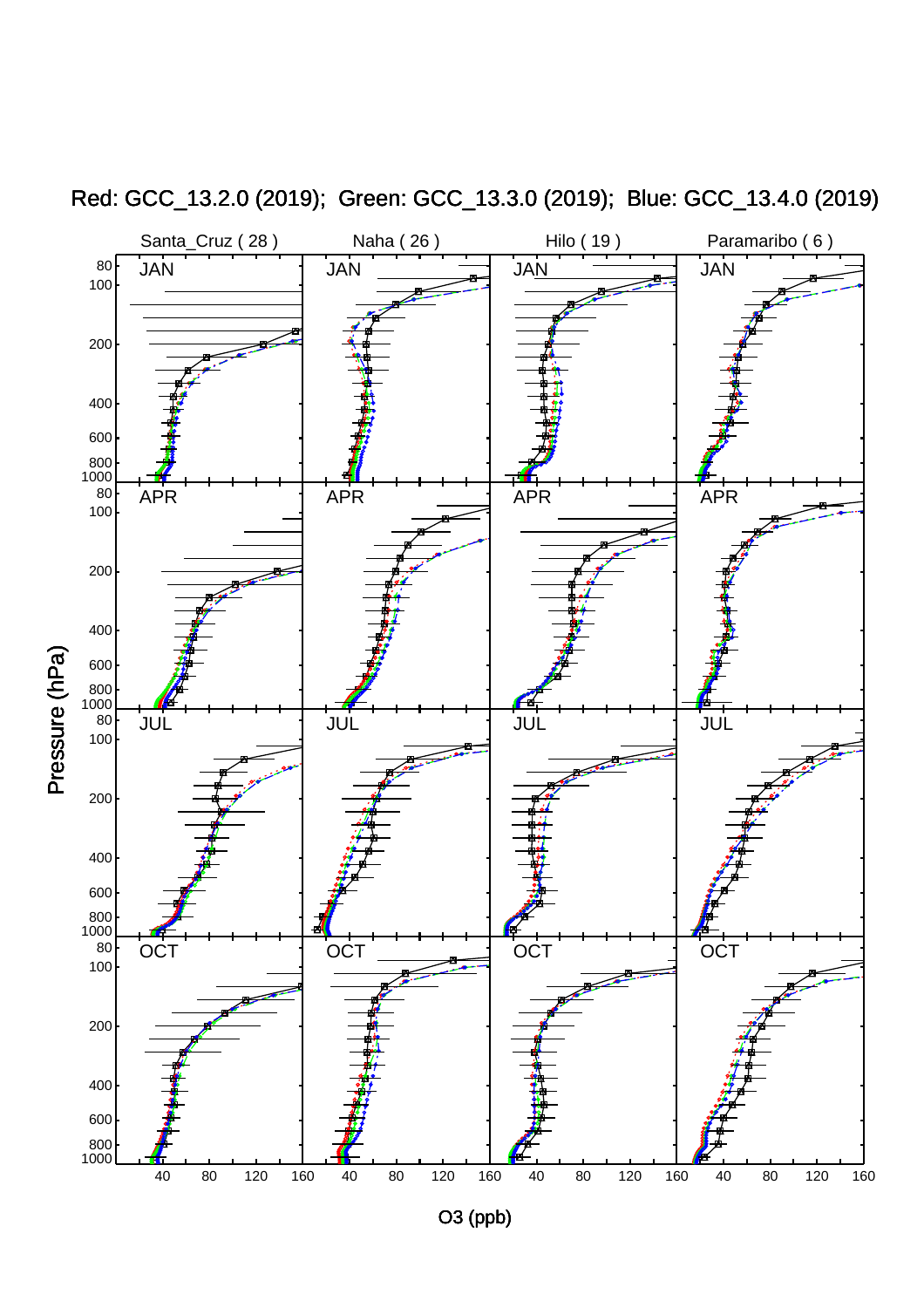

Red: GCC\_13.2.0 (2019); Green: GCC\_13.3.0 (2019); Blue: GCC\_13.4.0 (2019)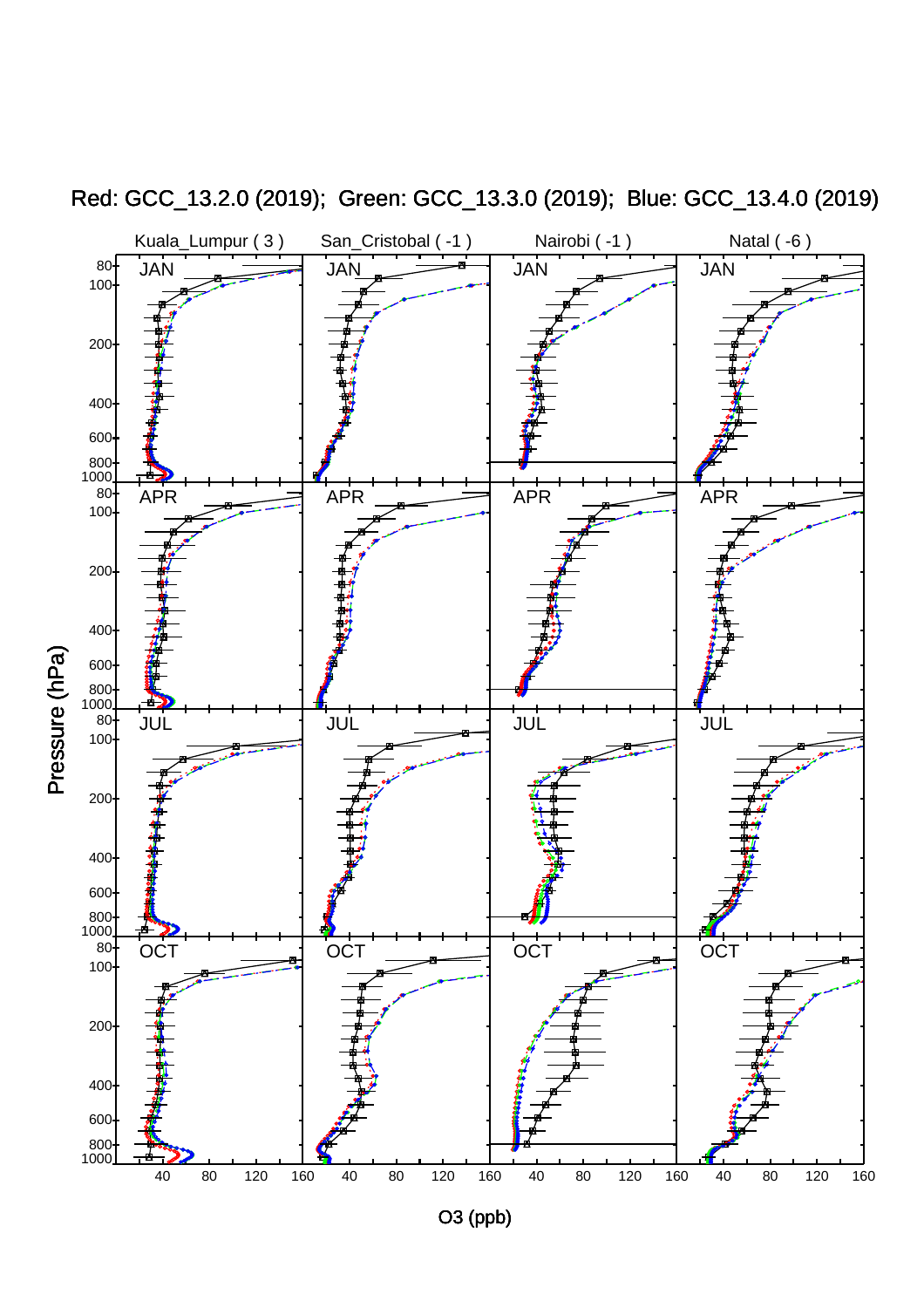

Red: GCC\_13.2.0 (2019); Green: GCC\_13.3.0 (2019); Blue: GCC\_13.4.0 (2019)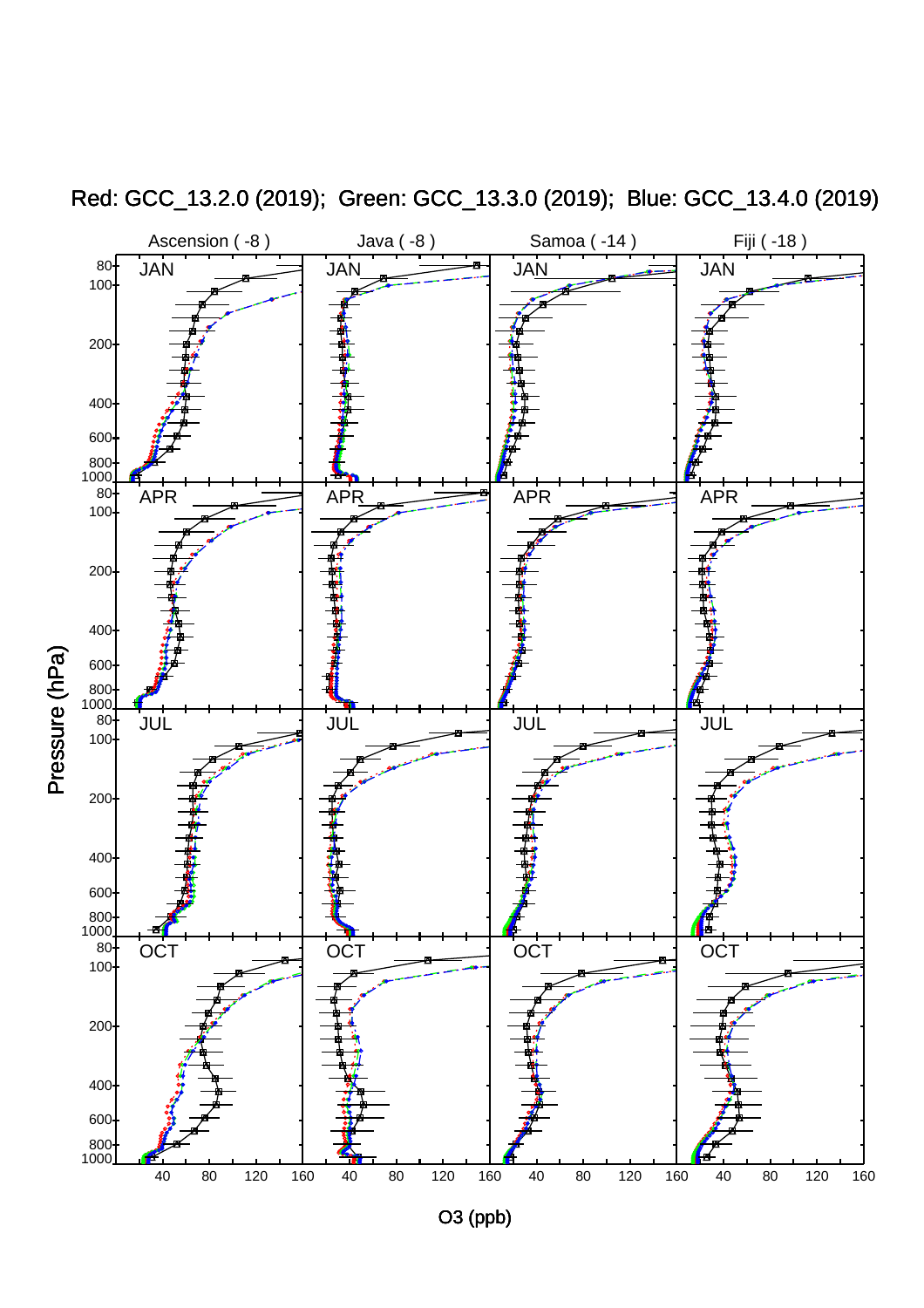

Red: GCC\_13.2.0 (2019); Green: GCC\_13.3.0 (2019); Blue: GCC\_13.4.0 (2019)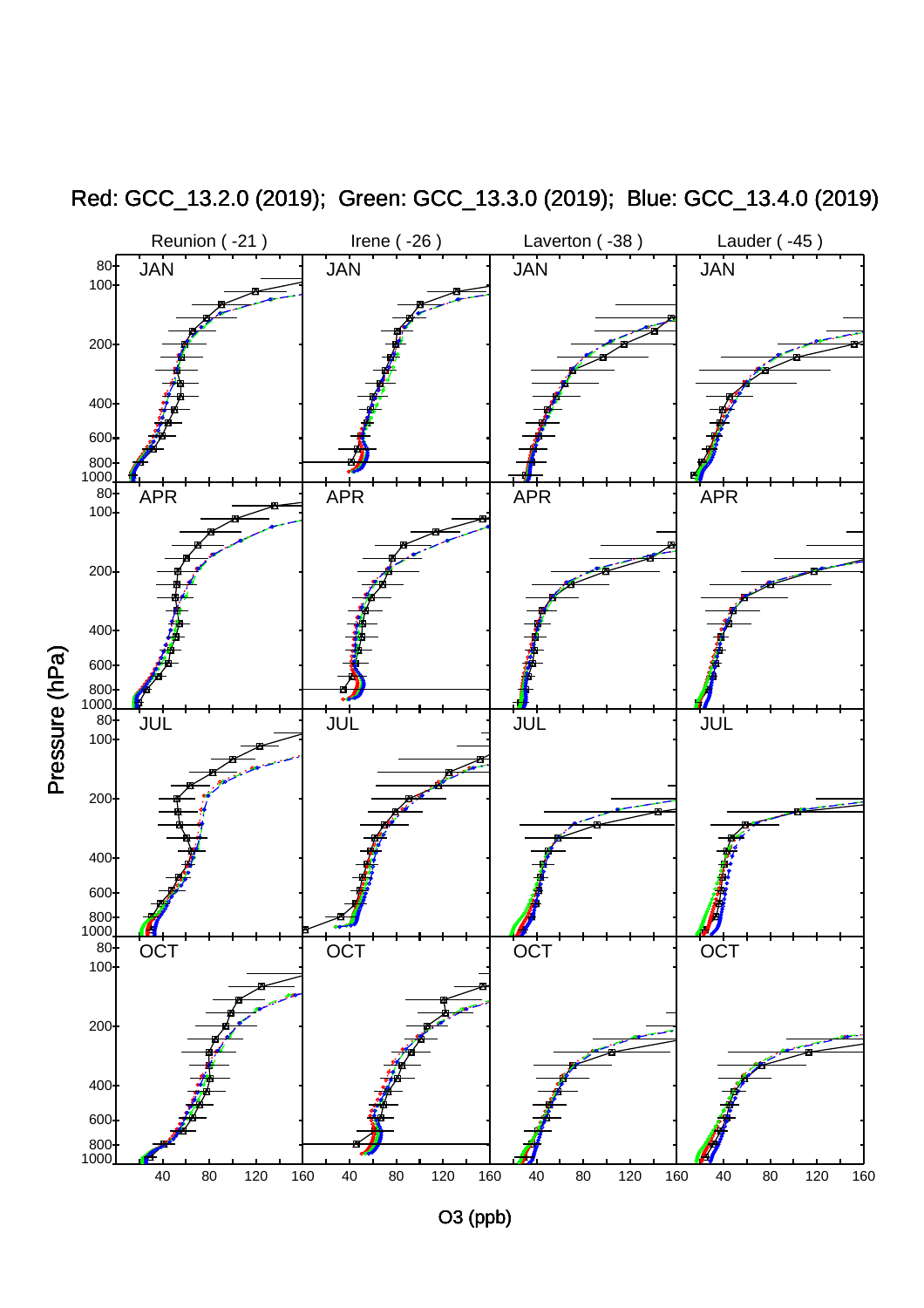

Red: GCC\_13.2.0 (2019); Green: GCC\_13.3.0 (2019); Blue: GCC\_13.4.0 (2019)